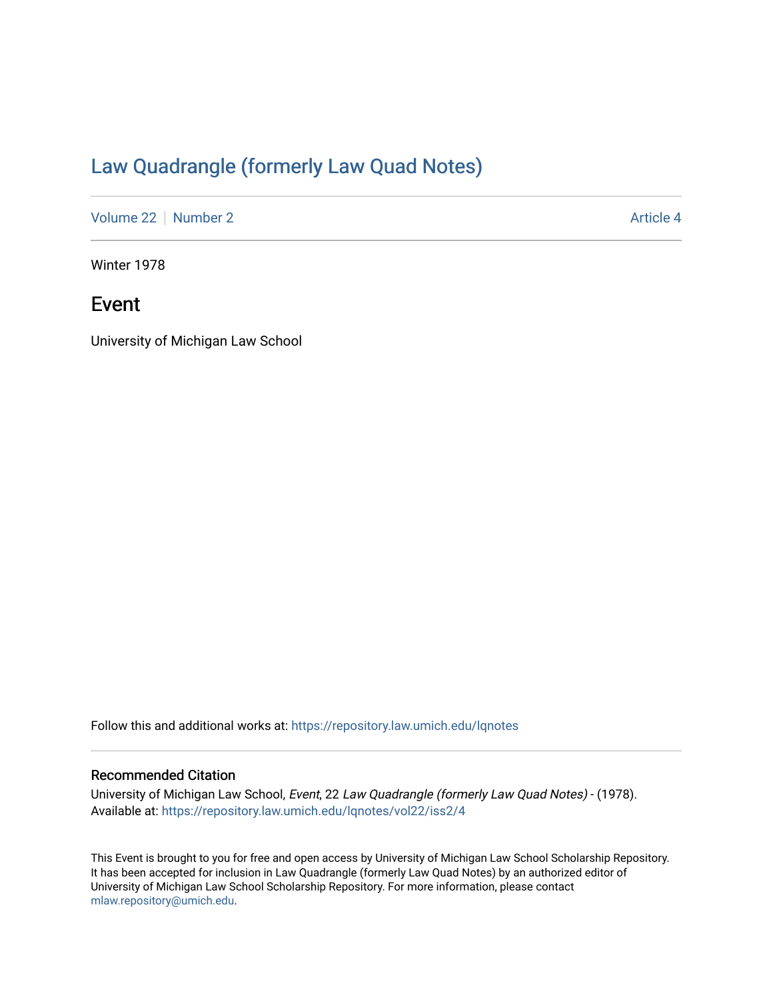## [Law Quadrangle \(formerly Law Quad Notes\)](https://repository.law.umich.edu/lqnotes)

[Volume 22](https://repository.law.umich.edu/lqnotes/vol22) [Number 2](https://repository.law.umich.edu/lqnotes/vol22/iss2) Article 4

Winter 1978

## Event

University of Michigan Law School

Follow this and additional works at: [https://repository.law.umich.edu/lqnotes](https://repository.law.umich.edu/lqnotes?utm_source=repository.law.umich.edu%2Flqnotes%2Fvol22%2Fiss2%2F4&utm_medium=PDF&utm_campaign=PDFCoverPages) 

## Recommended Citation

University of Michigan Law School, Event, 22 Law Quadrangle (formerly Law Quad Notes) - (1978). Available at: [https://repository.law.umich.edu/lqnotes/vol22/iss2/4](https://repository.law.umich.edu/lqnotes/vol22/iss2/4?utm_source=repository.law.umich.edu%2Flqnotes%2Fvol22%2Fiss2%2F4&utm_medium=PDF&utm_campaign=PDFCoverPages) 

This Event is brought to you for free and open access by University of Michigan Law School Scholarship Repository. It has been accepted for inclusion in Law Quadrangle (formerly Law Quad Notes) by an authorized editor of University of Michigan Law School Scholarship Repository. For more information, please contact [mlaw.repository@umich.edu.](mailto:mlaw.repository@umich.edu)